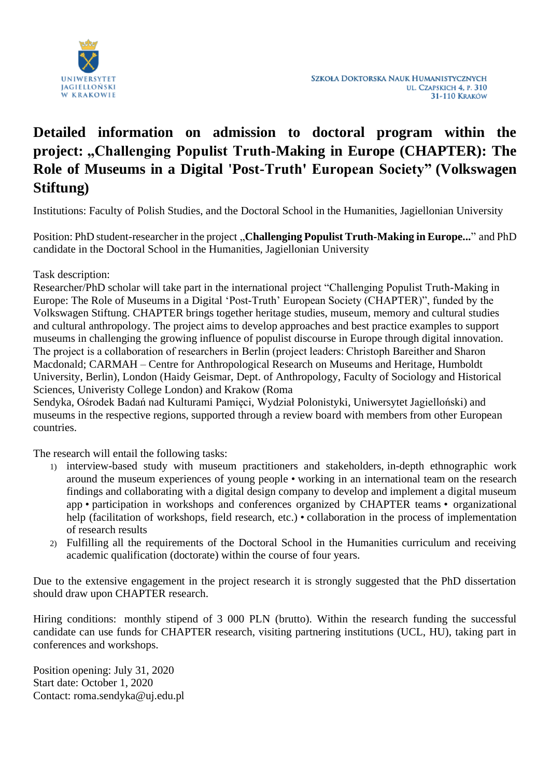

## **Detailed information on admission to doctoral program within the project: "Challenging Populist Truth-Making in Europe (CHAPTER): The Role of Museums in a Digital 'Post-Truth' European Society" (Volkswagen Stiftung)**

Institutions: Faculty of Polish Studies, and the Doctoral School in the Humanities, Jagiellonian University

Position: PhD student-researcher in the project "Challenging Populist Truth-Making in Europe..." and PhD candidate in the Doctoral School in the Humanities, Jagiellonian University

## Task description:

Researcher/PhD scholar will take part in the international project "Challenging Populist Truth-Making in Europe: The Role of Museums in a Digital 'Post-Truth' European Society (CHAPTER)", funded by the Volkswagen Stiftung. CHAPTER brings together heritage studies, museum, memory and cultural studies and cultural anthropology. The project aims to develop approaches and best practice examples to support museums in challenging the growing influence of populist discourse in Europe through digital innovation. The project is a collaboration of researchers in Berlin (project leaders: Christoph Bareither and Sharon Macdonald; CARMAH – Centre for Anthropological Research on Museums and Heritage, Humboldt University, Berlin), London (Haidy Geismar, Dept. of Anthropology, Faculty of Sociology and Historical Sciences, Univeristy College London) and Krakow (Roma

Sendyka, Ośrodek Badań nad Kulturami Pamięci, Wydział Polonistyki, Uniwersytet Jagielloński) and museums in the respective regions, supported through a review board with members from other European countries.

The research will entail the following tasks:

- 1) interview-based study with museum practitioners and stakeholders, in-depth ethnographic work around the museum experiences of young people • working in an international team on the research findings and collaborating with a digital design company to develop and implement a digital museum app • participation in workshops and conferences organized by CHAPTER teams • organizational help (facilitation of workshops, field research, etc.) • collaboration in the process of implementation of research results
- 2) Fulfilling all the requirements of the Doctoral School in the Humanities curriculum and receiving academic qualification (doctorate) within the course of four years.

Due to the extensive engagement in the project research it is strongly suggested that the PhD dissertation should draw upon CHAPTER research.

Hiring conditions: monthly stipend of 3 000 PLN (brutto). Within the research funding the successful candidate can use funds for CHAPTER research, visiting partnering institutions (UCL, HU), taking part in conferences and workshops.

Position opening: July 31, 2020 Start date: October 1, 2020 Contact: roma.sendyka@uj.edu.pl